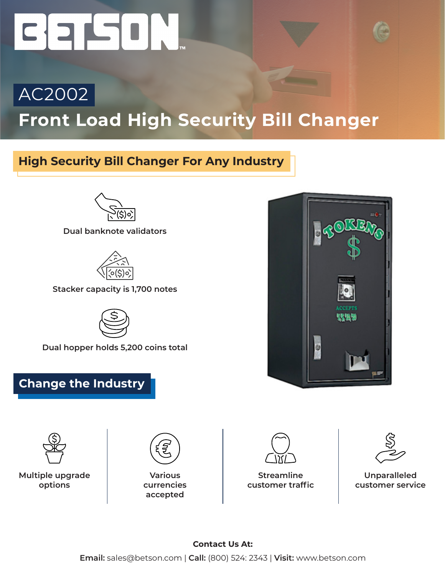## CEPCIN

## AC2002 **Front Load High Security Bill Changer**

## **High Security Bill Changer For Any Industry**



**Dual banknote validators**



**Stacker capacity is 1,700 notes**



**Dual hopper holds 5,200 coins total**

## **Change the Industry**



**Multiple upgrade options**



**Various currencies accepted**



**Streamline customer traffic**



**Unparalleled customer service**